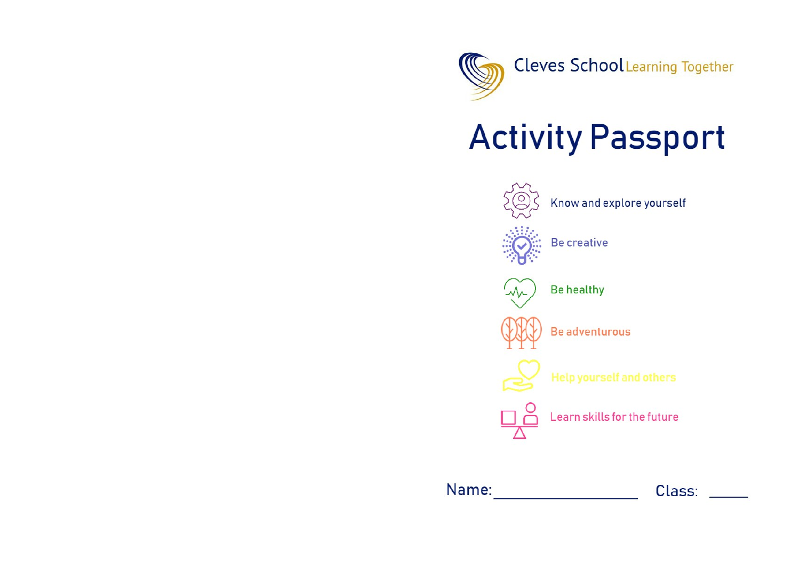

## **Activity Passport**